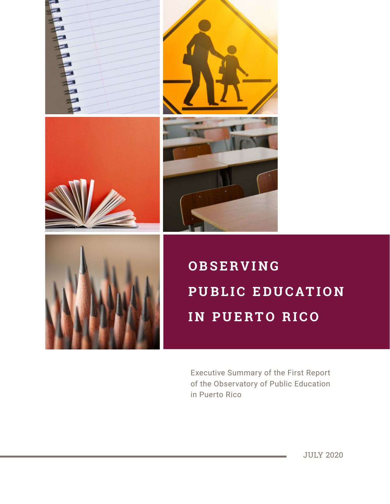



# **OBSERVING PUBLIC EDUCATION IN PUERTO RICO**

Executive Summary of the First Report of the Observatory of Public Education in Puerto Rico

JULY 2020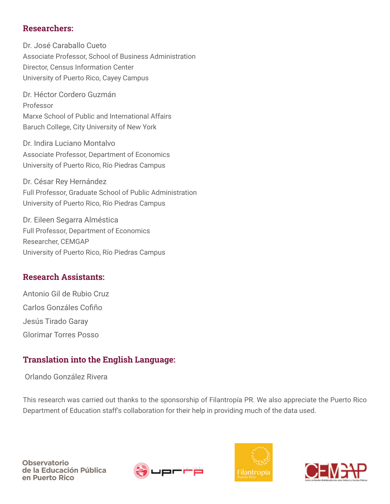#### Researchers:

Dr. José Caraballo Cueto Associate Professor, School of Business Administration Director, Census Information Center University of Puerto Rico, Cayey Campus

Dr. Héctor Cordero Guzmán Professor Marxe School of Public and International Affairs Baruch College, City University of New York

Dr. Indira Luciano Montalvo Associate Professor, Department of Economics University of Puerto Rico, Río Piedras Campus

Dr. César Rey Hernández Full Professor, Graduate School of Public Administration University of Puerto Rico, Río Piedras Campus

Dr. Eileen Segarra Alméstica Full Professor, Department of Economics Researcher, CEMGAP University of Puerto Rico, Río Piedras Campus

#### Research Assistants:

Antonio Gil de Rubio Cruz Carlos Gonzáles Cofiño Jesús Tirado Garay Glorimar Torres Posso

#### Translation into the English Language:

Orlando González Rivera

This research was carried out thanks to the sponsorship of Filantropía PR. We also appreciate the Puerto Rico Department of Education staff's collaboration for their help in providing much of the data used.





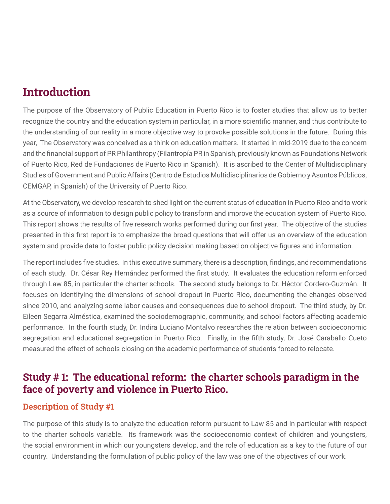## **Introduction**

The purpose of the Observatory of Public Education in Puerto Rico is to foster studies that allow us to better recognize the country and the education system in particular, in a more scientific manner, and thus contribute to the understanding of our reality in a more objective way to provoke possible solutions in the future. During this year, The Observatory was conceived as a think on education matters. It started in mid-2019 due to the concern and the financial support of PR Philanthropy (Filantropía PR in Spanish, previously known as Foundations Network of Puerto Rico, Red de Fundaciones de Puerto Rico in Spanish). It is ascribed to the Center of Multidisciplinary Studies of Government and Public Affairs (Centro de Estudios Multidisciplinarios de Gobierno y Asuntos Públicos, CEMGAP, in Spanish) of the University of Puerto Rico.

At the Observatory, we develop research to shed light on the current status of education in Puerto Rico and to work as a source of information to design public policy to transform and improve the education system of Puerto Rico. This report shows the results of five research works performed during our first year. The objective of the studies presented in this first report is to emphasize the broad questions that will offer us an overview of the education system and provide data to foster public policy decision making based on objective figures and information.

The report includes five studies. In this executive summary, there is a description, findings, and recommendations of each study. Dr. César Rey Hernández performed the first study. It evaluates the education reform enforced through Law 85, in particular the charter schools. The second study belongs to Dr. Héctor Cordero-Guzmán. It focuses on identifying the dimensions of school dropout in Puerto Rico, documenting the changes observed since 2010, and analyzing some labor causes and consequences due to school dropout. The third study, by Dr. Eileen Segarra Alméstica, examined the sociodemographic, community, and school factors affecting academic performance. In the fourth study, Dr. Indira Luciano Montalvo researches the relation between socioeconomic segregation and educational segregation in Puerto Rico. Finally, in the fifth study, Dr. José Caraballo Cueto measured the effect of schools closing on the academic performance of students forced to relocate.

## Study # 1: The educational reform: the charter schools paradigm in the face of poverty and violence in Puerto Rico.

#### Description of Study #1

The purpose of this study is to analyze the education reform pursuant to Law 85 and in particular with respect to the charter schools variable. Its framework was the socioeconomic context of children and youngsters, the social environment in which our youngsters develop, and the role of education as a key to the future of our country. Understanding the formulation of public policy of the law was one of the objectives of our work.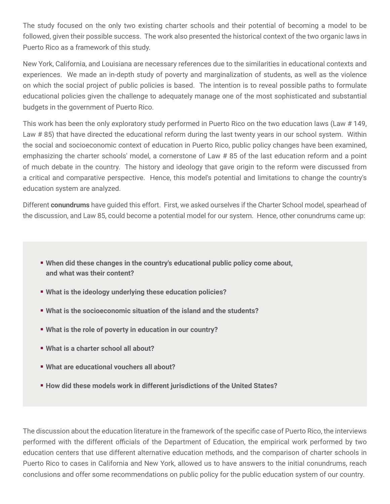The study focused on the only two existing charter schools and their potential of becoming a model to be followed, given their possible success. The work also presented the historical context of the two organic laws in Puerto Rico as a framework of this study.

New York, California, and Louisiana are necessary references due to the similarities in educational contexts and experiences. We made an in-depth study of poverty and marginalization of students, as well as the violence on which the social project of public policies is based. The intention is to reveal possible paths to formulate educational policies given the challenge to adequately manage one of the most sophisticated and substantial budgets in the government of Puerto Rico.

This work has been the only exploratory study performed in Puerto Rico on the two education laws (Law # 149, Law # 85) that have directed the educational reform during the last twenty years in our school system. Within the social and socioeconomic context of education in Puerto Rico, public policy changes have been examined, emphasizing the charter schools' model, a cornerstone of Law # 85 of the last education reform and a point of much debate in the country. The history and ideology that gave origin to the reform were discussed from a critical and comparative perspective. Hence, this model's potential and limitations to change the country's education system are analyzed.

Different **conundrums** have guided this effort. First, we asked ourselves if the Charter School model, spearhead of the discussion, and Law 85, could become a potential model for our system. Hence, other conundrums came up:

- **When did these changes in the country's educational public policy come about, and what was their content?**
- **What is the ideology underlying these education policies?**
- **What is the socioeconomic situation of the island and the students?**
- **What is the role of poverty in education in our country?**
- **What is a charter school all about?**
- **What are educational vouchers all about?**
- **How did these models work in different jurisdictions of the United States?**

The discussion about the education literature in the framework of the specific case of Puerto Rico, the interviews performed with the different officials of the Department of Education, the empirical work performed by two education centers that use different alternative education methods, and the comparison of charter schools in Puerto Rico to cases in California and New York, allowed us to have answers to the initial conundrums, reach conclusions and offer some recommendations on public policy for the public education system of our country.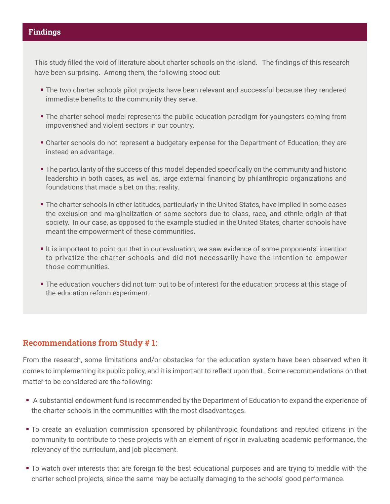#### Findings

This study filled the void of literature about charter schools on the island. The findings of this research have been surprising. Among them, the following stood out:

- The two charter schools pilot projects have been relevant and successful because they rendered immediate benefits to the community they serve.
- The charter school model represents the public education paradigm for youngsters coming from impoverished and violent sectors in our country.
- Charter schools do not represent a budgetary expense for the Department of Education; they are instead an advantage.
- The particularity of the success of this model depended specifically on the community and historic leadership in both cases, as well as, large external financing by philanthropic organizations and foundations that made a bet on that reality.
- The charter schools in other latitudes, particularly in the United States, have implied in some cases the exclusion and marginalization of some sectors due to class, race, and ethnic origin of that society. In our case, as opposed to the example studied in the United States, charter schools have meant the empowerment of these communities.
- If is important to point out that in our evaluation, we saw evidence of some proponents' intention to privatize the charter schools and did not necessarily have the intention to empower those communities.
- The education vouchers did not turn out to be of interest for the education process at this stage of the education reform experiment.

#### Recommendations from Study # 1:

From the research, some limitations and/or obstacles for the education system have been observed when it comes to implementing its public policy, and it is important to reflect upon that. Some recommendations on that matter to be considered are the following:

- A substantial endowment fund is recommended by the Department of Education to expand the experience of the charter schools in the communities with the most disadvantages.
- To create an evaluation commission sponsored by philanthropic foundations and reputed citizens in the community to contribute to these projects with an element of rigor in evaluating academic performance, the relevancy of the curriculum, and job placement.
- To watch over interests that are foreign to the best educational purposes and are trying to meddle with the charter school projects, since the same may be actually damaging to the schools' good performance.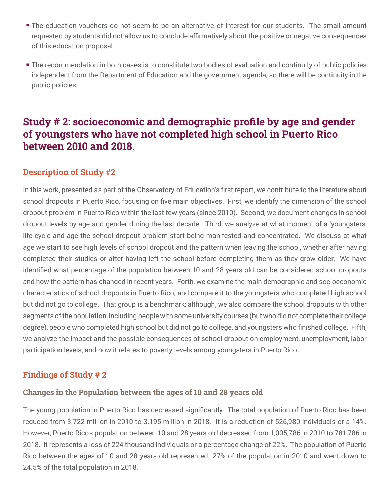- The education vouchers do not seem to be an alternative of interest for our students. The small amount requested by students did not allow us to conclude affirmatively about the positive or negative consequences of this education proposal.
- The recommendation in both cases is to constitute two bodies of evaluation and continuity of public policies independent from the Department of Education and the government agenda, so there will be continuity in the public policies.

## Study # 2: socioeconomic and demographic profile by age and gender of youngsters who have not completed high school in Puerto Rico between 2010 and 2018.

#### Description of Study #2

In this work, presented as part of the Observatory of Education's first report, we contribute to the literature about school dropouts in Puerto Rico, focusing on five main objectives. First, we identify the dimension of the school dropout problem in Puerto Rico within the last few years (since 2010). Second, we document changes in school dropout levels by age and gender during the last decade. Third, we analyze at what moment of a 'youngsters' life cycle and age the school dropout problem start being manifested and concentrated. We discuss at what age we start to see high levels of school dropout and the pattern when leaving the school, whether after having completed their studies or after having left the school before completing them as they grow older. We have identified what percentage of the population between 10 and 28 years old can be considered school dropouts and how the pattern has changed in recent years. Forth, we examine the main demographic and socioeconomic characteristics of school dropouts in Puerto Rico, and compare it to the youngsters who completed high school but did not go to college. That group is a benchmark; although, we also compare the school dropouts with other segments of the population, including people with some university courses (but who did not complete their college degree), people who completed high school but did not go to college, and youngsters who finished college. Fifth, we analyze the impact and the possible consequences of school dropout on employment, unemployment, labor participation levels, and how it relates to poverty levels among youngsters in Puerto Rico.

#### Findings of Study # 2

#### Changes in the Population between the ages of 10 and 28 years old

The young population in Puerto Rico has decreased significantly. The total population of Puerto Rico has been reduced from 3.722 million in 2010 to 3.195 million in 2018. It is a reduction of 526,980 individuals or a 14%. However, Puerto Rico's population between 10 and 28 years old decreased from 1,005,786 in 2010 to 781,786 in 2018. It represents a loss of 224 thousand individuals or a percentage change of 22%. The population of Puerto Rico between the ages of 10 and 28 years old represented 27% of the population in 2010 and went down to 24.5% of the total population in 2018.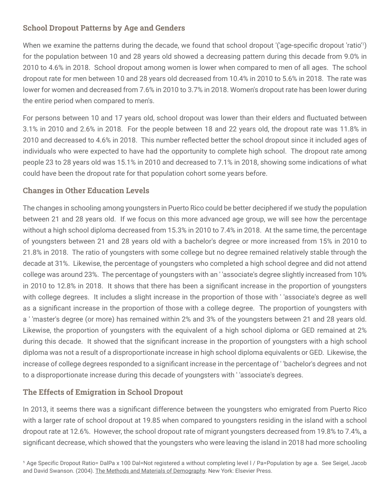#### School Dropout Patterns by Age and Genders

When we examine the patterns during the decade, we found that school dropout '('age-specific dropout 'ratio'<sup>1</sup>) for the population between 10 and 28 years old showed a decreasing pattern during this decade from 9.0% in 2010 to 4.6% in 2018. School dropout among women is lower when compared to men of all ages. The school dropout rate for men between 10 and 28 years old decreased from 10.4% in 2010 to 5.6% in 2018. The rate was lower for women and decreased from 7.6% in 2010 to 3.7% in 2018. Women's dropout rate has been lower during the entire period when compared to men's.

For persons between 10 and 17 years old, school dropout was lower than their elders and fluctuated between 3.1% in 2010 and 2.6% in 2018. For the people between 18 and 22 years old, the dropout rate was 11.8% in 2010 and decreased to 4.6% in 2018. This number reflected better the school dropout since it included ages of individuals who were expected to have had the opportunity to complete high school. The dropout rate among people 23 to 28 years old was 15.1% in 2010 and decreased to 7.1% in 2018, showing some indications of what could have been the dropout rate for that population cohort some years before.

#### Changes in Other Education Levels

The changes in schooling among youngsters in Puerto Rico could be better deciphered if we study the population between 21 and 28 years old. If we focus on this more advanced age group, we will see how the percentage without a high school diploma decreased from 15.3% in 2010 to 7.4% in 2018. At the same time, the percentage of youngsters between 21 and 28 years old with a bachelor's degree or more increased from 15% in 2010 to 21.8% in 2018. The ratio of youngsters with some college but no degree remained relatively stable through the decade at 31%. Likewise, the percentage of youngsters who completed a high school degree and did not attend college was around 23%. The percentage of youngsters with an ' 'associate's degree slightly increased from 10% in 2010 to 12.8% in 2018. It shows that there has been a significant increase in the proportion of youngsters with college degrees. It includes a slight increase in the proportion of those with ' 'associate's degree as well as a significant increase in the proportion of those with a college degree. The proportion of youngsters with a ' 'master's degree (or more) has remained within 2% and 3% of the youngsters between 21 and 28 years old. Likewise, the proportion of youngsters with the equivalent of a high school diploma or GED remained at 2% during this decade. It showed that the significant increase in the proportion of youngsters with a high school diploma was not a result of a disproportionate increase in high school diploma equivalents or GED. Likewise, the increase of college degrees responded to a significant increase in the percentage of ' 'bachelor's degrees and not to a disproportionate increase during this decade of youngsters with ' 'associate's degrees.

#### The Effects of Emigration in School Dropout

In 2013, it seems there was a significant difference between the youngsters who emigrated from Puerto Rico with a larger rate of school dropout at 19.85 when compared to youngsters residing in the island with a school dropout rate at 12.6%. However, the school dropout rate of migrant youngsters decreased from 19.8% to 7.4%, a significant decrease, which showed that the youngsters who were leaving the island in 2018 had more schooling

<sup>1</sup> Age Specific Dropout Ratio= DalPa x 100 Dal=Not registered a without completing level I / Pa=Population by age a. See Seigel, Jacob and David Swanson. (2004). The Methods and Materials of Demography. New York: Elsevier Press.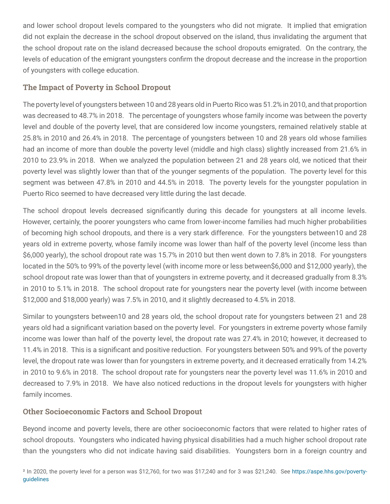and lower school dropout levels compared to the youngsters who did not migrate. It implied that emigration did not explain the decrease in the school dropout observed on the island, thus invalidating the argument that the school dropout rate on the island decreased because the school dropouts emigrated. On the contrary, the levels of education of the emigrant youngsters confirm the dropout decrease and the increase in the proportion of youngsters with college education.

#### The Impact of Poverty in School Dropout

The poverty level of youngsters between 10 and 28 years old in Puerto Rico was 51.2% in 2010, and that proportion was decreased to 48.7% in 2018. The percentage of youngsters whose family income was between the poverty level and double of the poverty level, that are considered low income youngsters, remained relatively stable at 25.8% in 2010 and 26.4% in 2018. The percentage of youngsters between 10 and 28 years old whose families had an income of more than double the poverty level (middle and high class) slightly increased from 21.6% in 2010 to 23.9% in 2018. When we analyzed the population between 21 and 28 years old, we noticed that their poverty level was slightly lower than that of the younger segments of the population. The poverty level for this segment was between 47.8% in 2010 and 44.5% in 2018. The poverty levels for the youngster population in Puerto Rico seemed to have decreased very little during the last decade.

The school dropout levels decreased significantly during this decade for youngsters at all income levels. However, certainly, the poorer youngsters who came from lower-income families had much higher probabilities of becoming high school dropouts, and there is a very stark difference. For the youngsters between10 and 28 years old in extreme poverty, whose family income was lower than half of the poverty level (income less than \$6,000 yearly), the school dropout rate was 15.7% in 2010 but then went down to 7.8% in 2018. For youngsters located in the 50% to 99% of the poverty level (with income more or less between\$6,000 and \$12,000 yearly), the school dropout rate was lower than that of youngsters in extreme poverty, and it decreased gradually from 8.3% in 2010 to 5.1% in 2018. The school dropout rate for youngsters near the poverty level (with income between \$12,000 and \$18,000 yearly) was 7.5% in 2010, and it slightly decreased to 4.5% in 2018.

Similar to youngsters between10 and 28 years old, the school dropout rate for youngsters between 21 and 28 years old had a significant variation based on the poverty level. For youngsters in extreme poverty whose family income was lower than half of the poverty level, the dropout rate was 27.4% in 2010; however, it decreased to 11.4% in 2018. This is a significant and positive reduction. For youngsters between 50% and 99% of the poverty level, the dropout rate was lower than for youngsters in extreme poverty, and it decreased erratically from 14.2% in 2010 to 9.6% in 2018. The school dropout rate for youngsters near the poverty level was 11.6% in 2010 and decreased to 7.9% in 2018. We have also noticed reductions in the dropout levels for youngsters with higher family incomes.

#### Other Socioeconomic Factors and School Dropout

Beyond income and poverty levels, there are other socioeconomic factors that were related to higher rates of school dropouts. Youngsters who indicated having physical disabilities had a much higher school dropout rate than the youngsters who did not indicate having said disabilities. Youngsters born in a foreign country and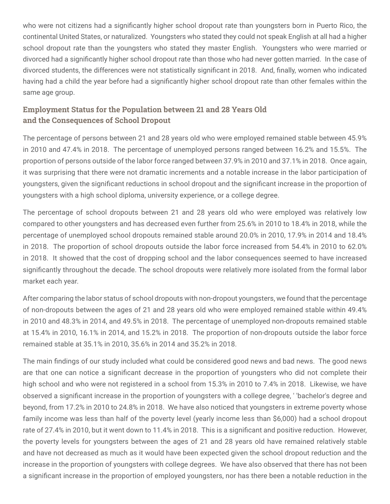who were not citizens had a significantly higher school dropout rate than youngsters born in Puerto Rico, the continental United States, or naturalized. Youngsters who stated they could not speak English at all had a higher school dropout rate than the youngsters who stated they master English. Youngsters who were married or divorced had a significantly higher school dropout rate than those who had never gotten married. In the case of divorced students, the differences were not statistically significant in 2018. And, finally, women who indicated having had a child the year before had a significantly higher school dropout rate than other females within the same age group.

#### Employment Status for the Population between 21 and 28 Years Old and the Consequences of School Dropout

The percentage of persons between 21 and 28 years old who were employed remained stable between 45.9% in 2010 and 47.4% in 2018. The percentage of unemployed persons ranged between 16.2% and 15.5%. The proportion of persons outside of the labor force ranged between 37.9% in 2010 and 37.1% in 2018. Once again, it was surprising that there were not dramatic increments and a notable increase in the labor participation of youngsters, given the significant reductions in school dropout and the significant increase in the proportion of youngsters with a high school diploma, university experience, or a college degree.

The percentage of school dropouts between 21 and 28 years old who were employed was relatively low compared to other youngsters and has decreased even further from 25.6% in 2010 to 18.4% in 2018, while the percentage of unemployed school dropouts remained stable around 20.0% in 2010, 17.9% in 2014 and 18.4% in 2018. The proportion of school dropouts outside the labor force increased from 54.4% in 2010 to 62.0% in 2018. It showed that the cost of dropping school and the labor consequences seemed to have increased significantly throughout the decade. The school dropouts were relatively more isolated from the formal labor market each year.

After comparing the labor status of school dropouts with non-dropout youngsters, we found that the percentage of non-dropouts between the ages of 21 and 28 years old who were employed remained stable within 49.4% in 2010 and 48.3% in 2014, and 49.5% in 2018. The percentage of unemployed non-dropouts remained stable at 15.4% in 2010, 16.1% in 2014, and 15.2% in 2018. The proportion of non-dropouts outside the labor force remained stable at 35.1% in 2010, 35.6% in 2014 and 35.2% in 2018.

The main findings of our study included what could be considered good news and bad news. The good news are that one can notice a significant decrease in the proportion of youngsters who did not complete their high school and who were not registered in a school from 15.3% in 2010 to 7.4% in 2018. Likewise, we have observed a significant increase in the proportion of youngsters with a college degree, ' 'bachelor's degree and beyond, from 17.2% in 2010 to 24.8% in 2018. We have also noticed that youngsters in extreme poverty whose family income was less than half of the poverty level (yearly income less than \$6,000) had a school dropout rate of 27.4% in 2010, but it went down to 11.4% in 2018. This is a significant and positive reduction. However, the poverty levels for youngsters between the ages of 21 and 28 years old have remained relatively stable and have not decreased as much as it would have been expected given the school dropout reduction and the increase in the proportion of youngsters with college degrees. We have also observed that there has not been a significant increase in the proportion of employed youngsters, nor has there been a notable reduction in the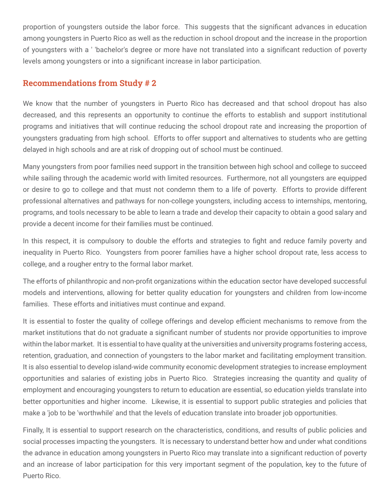proportion of youngsters outside the labor force. This suggests that the significant advances in education among youngsters in Puerto Rico as well as the reduction in school dropout and the increase in the proportion of youngsters with a ' 'bachelor's degree or more have not translated into a significant reduction of poverty levels among youngsters or into a significant increase in labor participation.

#### Recommendations from Study # 2

We know that the number of youngsters in Puerto Rico has decreased and that school dropout has also decreased, and this represents an opportunity to continue the efforts to establish and support institutional programs and initiatives that will continue reducing the school dropout rate and increasing the proportion of youngsters graduating from high school. Efforts to offer support and alternatives to students who are getting delayed in high schools and are at risk of dropping out of school must be continued.

Many youngsters from poor families need support in the transition between high school and college to succeed while sailing through the academic world with limited resources. Furthermore, not all youngsters are equipped or desire to go to college and that must not condemn them to a life of poverty. Efforts to provide different professional alternatives and pathways for non-college youngsters, including access to internships, mentoring, programs, and tools necessary to be able to learn a trade and develop their capacity to obtain a good salary and provide a decent income for their families must be continued.

In this respect, it is compulsory to double the efforts and strategies to fight and reduce family poverty and inequality in Puerto Rico. Youngsters from poorer families have a higher school dropout rate, less access to college, and a rougher entry to the formal labor market.

The efforts of philanthropic and non-profit organizations within the education sector have developed successful models and interventions, allowing for better quality education for youngsters and children from low-income families. These efforts and initiatives must continue and expand.

It is essential to foster the quality of college offerings and develop efficient mechanisms to remove from the market institutions that do not graduate a significant number of students nor provide opportunities to improve within the labor market. It is essential to have quality at the universities and university programs fostering access, retention, graduation, and connection of youngsters to the labor market and facilitating employment transition. It is also essential to develop island-wide community economic development strategies to increase employment opportunities and salaries of existing jobs in Puerto Rico. Strategies increasing the quantity and quality of employment and encouraging youngsters to return to education are essential, so education yields translate into better opportunities and higher income. Likewise, it is essential to support public strategies and policies that make a 'job to be 'worthwhile' and that the levels of education translate into broader job opportunities.

Finally, It is essential to support research on the characteristics, conditions, and results of public policies and social processes impacting the youngsters. It is necessary to understand better how and under what conditions the advance in education among youngsters in Puerto Rico may translate into a significant reduction of poverty and an increase of labor participation for this very important segment of the population, key to the future of Puerto Rico.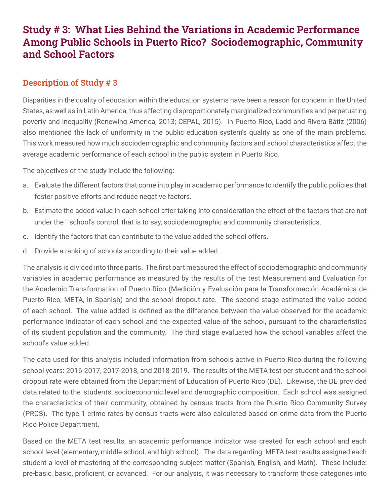## Study # 3: What Lies Behind the Variations in Academic Performance Among Public Schools in Puerto Rico? Sociodemographic, Community and School Factors

#### Description of Study # 3

Disparities in the quality of education within the education systems have been a reason for concern in the United States, as well as in Latin America, thus affecting disproportionately marginalized communities and perpetuating poverty and inequality (Renewing America, 2013; CEPAL, 2015). In Puerto Rico, Ladd and Rivera-Bátiz (2006) also mentioned the lack of uniformity in the public education system's quality as one of the main problems. This work measured how much sociodemographic and community factors and school characteristics affect the average academic performance of each school in the public system in Puerto Rico.

The objectives of the study include the following:

- a. Evaluate the different factors that come into play in academic performance to identify the public policies that foster positive efforts and reduce negative factors.
- b. Estimate the added value in each school after taking into consideration the effect of the factors that are not under the ' 'school's control, that is to say, sociodemographic and community characteristics.
- c. Identify the factors that can contribute to the value added the school offers.
- d. Provide a ranking of schools according to their value added.

The analysis is divided into three parts. The first part measured the effect of sociodemographic and community variables in academic performance as measured by the results of the test Measurement and Evaluation for the Academic Transformation of Puerto Rico (Medición y Evaluación para la Transformación Académica de Puerto Rico, META, in Spanish) and the school dropout rate. The second stage estimated the value added of each school. The value added is defined as the difference between the value observed for the academic performance indicator of each school and the expected value of the school, pursuant to the characteristics of its student population and the community. The third stage evaluated how the school variables affect the school's value added.

The data used for this analysis included information from schools active in Puerto Rico during the following school years: 2016-2017, 2017-2018, and 2018-2019. The results of the META test per student and the school dropout rate were obtained from the Department of Education of Puerto Rico (DE). Likewise, the DE provided data related to the 'students' socioeconomic level and demographic composition. Each school was assigned the characteristics of their community, obtained by census tracts from the Puerto Rico Community Survey (PRCS). The type 1 crime rates by census tracts were also calculated based on crime data from the Puerto Rico Police Department.

Based on the META test results, an academic performance indicator was created for each school and each school level (elementary, middle school, and high school). The data regarding META test results assigned each student a level of mastering of the corresponding subject matter (Spanish, English, and Math). These include: pre-basic, basic, proficient, or advanced. For our analysis, it was necessary to transform those categories into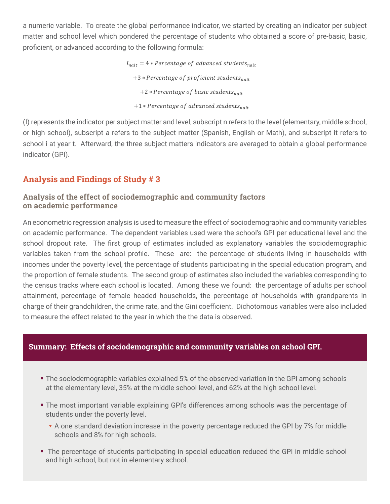a numeric variable. To create the global performance indicator, we started by creating an indicator per subject matter and school level which pondered the percentage of students who obtained a score of pre-basic, basic, proficient, or advanced according to the following formula:

> $I_{nait} = 4 * Percentage of advanced students_{nait}$ +3 \* Percentage of proficient students<sub>nait</sub> +2 \* Percentage of basic students<sub>nait</sub> +1 \* Percentage of advanced students<sub>nait</sub>

(I) represents the indicator per subject matter and level, subscript n refers to the level (elementary, middle school, or high school), subscript a refers to the subject matter (Spanish, English or Math), and subscript it refers to school i at year t. Afterward, the three subject matters indicators are averaged to obtain a global performance indicator (GPI).

### Analysis and Findings of Study # 3

#### Analysis of the effect of sociodemographic and community factors on academic performance

An econometric regression analysis is used to measure the effect of sociodemographic and community variables on academic performance. The dependent variables used were the school's GPI per educational level and the school dropout rate. The first group of estimates included as explanatory variables the sociodemographic variables taken from the school profile. These are: the percentage of students living in households with incomes under the poverty level, the percentage of students participating in the special education program, and the proportion of female students. The second group of estimates also included the variables corresponding to the census tracks where each school is located. Among these we found: the percentage of adults per school attainment, percentage of female headed households, the percentage of households with grandparents in charge of their grandchildren, the crime rate, and the Gini coefficient. Dichotomous variables were also included to measure the effect related to the year in which the the data is observed.

#### Summary: Effects of sociodemographic and community variables on school GPI.

- **The sociodemographic variables explained 5% of the observed variation in the GPI among schools** at the elementary level, 35% at the middle school level, and 62% at the high school level.
- The most important variable explaining GPI's differences among schools was the percentage of students under the poverty level.
	- ▼ A one standard deviation increase in the poverty percentage reduced the GPI by 7% for middle schools and 8% for high schools.
- **The percentage of students participating in special education reduced the GPI in middle school** and high school, but not in elementary school.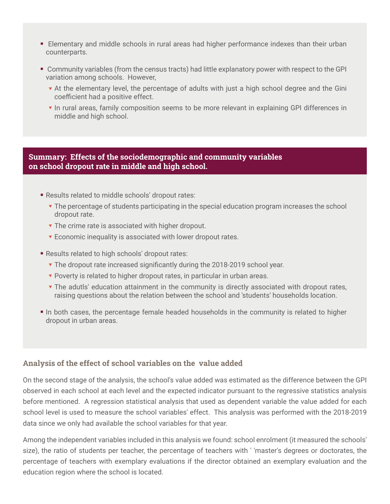- Elementary and middle schools in rural areas had higher performance indexes than their urban counterparts.
- Community variables (from the census tracts) had little explanatory power with respect to the GPI variation among schools. However,
	- ▼ At the elementary level, the percentage of adults with just a high school degree and the Gini coefficient had a positive effect.
	- ▼ In rural areas, family composition seems to be more relevant in explaining GPI differences in middle and high school.

#### Summary: Effects of the sociodemographic and community variables on school dropout rate in middle and high school.

- Results related to middle schools' dropout rates:
	- ▼ The percentage of students participating in the special education program increases the school dropout rate.
	- ▼ The crime rate is associated with higher dropout.
	- ▼ Economic inequality is associated with lower dropout rates.
- **Results related to high schools' dropout rates:** 
	- ▼ The dropout rate increased significantly during the 2018-2019 school year.
	- ▼ Poverty is related to higher dropout rates, in particular in urban areas.
	- ▼ The adutls' education attainment in the community is directly associated with dropout rates, raising questions about the relation between the school and 'students' households location.
- In both cases, the percentage female headed households in the community is related to higher dropout in urban areas.

#### Analysis of the effect of school variables on the value added

On the second stage of the analysis, the school's value added was estimated as the difference between the GPI observed in each school at each level and the expected indicator pursuant to the regressive statistics analysis before mentioned. A regression statistical analysis that used as dependent variable the value added for each school level is used to measure the school variables' effect. This analysis was performed with the 2018-2019 data since we only had available the school variables for that year.

Among the independent variables included in this analysis we found: school enrolment (it measured the schools' size), the ratio of students per teacher, the percentage of teachers with ' 'master's degrees or doctorates, the percentage of teachers with exemplary evaluations if the director obtained an exemplary evaluation and the education region where the school is located.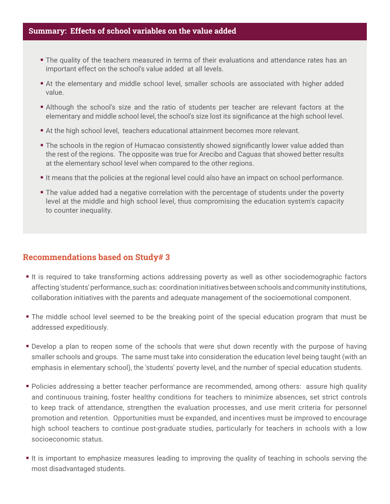#### Summary: Effects of school variables on the value added

- The quality of the teachers measured in terms of their evaluations and attendance rates has an important effect on the school's value added at all levels.
- At the elementary and middle school level, smaller schools are associated with higher added value.
- Although the school's size and the ratio of students per teacher are relevant factors at the elementary and middle school level, the school's size lost its significance at the high school level.
- At the high school level, teachers educational attainment becomes more relevant.
- **The schools in the region of Humacao consistently showed significantly lower value added than** the rest of the regions. The opposite was true for Arecibo and Caguas that showed better results at the elementary school level when compared to the other regions.
- It means that the policies at the regional level could also have an impact on school performance.
- **The value added had a negative correlation with the percentage of students under the poverty** level at the middle and high school level, thus compromising the education system's capacity to counter inequality.

#### Recommendations based on Study# 3

- It is required to take transforming actions addressing poverty as well as other sociodemographic factors affecting 'students' performance, such as: coordination initiatives between schools and community institutions, collaboration initiatives with the parents and adequate management of the socioemotional component.
- The middle school level seemed to be the breaking point of the special education program that must be addressed expeditiously.
- **Develop a plan to reopen some of the schools that were shut down recently with the purpose of having** smaller schools and groups. The same must take into consideration the education level being taught (with an emphasis in elementary school), the 'students' poverty level, and the number of special education students.
- **Policies addressing a better teacher performance are recommended, among others: assure high quality** and continuous training, foster healthy conditions for teachers to minimize absences, set strict controls to keep track of attendance, strengthen the evaluation processes, and use merit criteria for personnel promotion and retention. Opportunities must be expanded, and incentives must be improved to encourage high school teachers to continue post-graduate studies, particularly for teachers in schools with a low socioeconomic status.
- It is important to emphasize measures leading to improving the quality of teaching in schools serving the most disadvantaged students.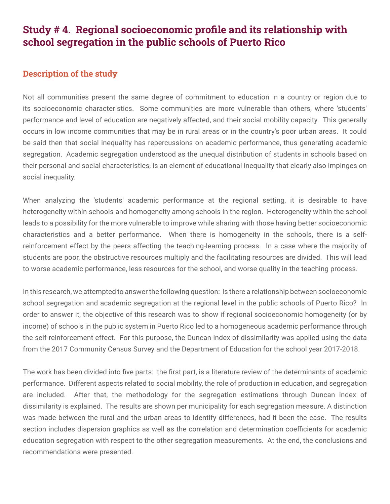## Study # 4. Regional socioeconomic profile and its relationship with school segregation in the public schools of Puerto Rico

#### Description of the study

Not all communities present the same degree of commitment to education in a country or region due to its socioeconomic characteristics. Some communities are more vulnerable than others, where 'students' performance and level of education are negatively affected, and their social mobility capacity. This generally occurs in low income communities that may be in rural areas or in the country's poor urban areas. It could be said then that social inequality has repercussions on academic performance, thus generating academic segregation. Academic segregation understood as the unequal distribution of students in schools based on their personal and social characteristics, is an element of educational inequality that clearly also impinges on social inequality.

When analyzing the 'students' academic performance at the regional setting, it is desirable to have heterogeneity within schools and homogeneity among schools in the region. Heterogeneity within the school leads to a possibility for the more vulnerable to improve while sharing with those having better socioeconomic characteristics and a better performance. When there is homogeneity in the schools, there is a selfreinforcement effect by the peers affecting the teaching-learning process. In a case where the majority of students are poor, the obstructive resources multiply and the facilitating resources are divided. This will lead to worse academic performance, less resources for the school, and worse quality in the teaching process.

In this research, we attempted to answer the following question: Is there a relationship between socioeconomic school segregation and academic segregation at the regional level in the public schools of Puerto Rico? In order to answer it, the objective of this research was to show if regional socioeconomic homogeneity (or by income) of schools in the public system in Puerto Rico led to a homogeneous academic performance through the self-reinforcement effect. For this purpose, the Duncan index of dissimilarity was applied using the data from the 2017 Community Census Survey and the Department of Education for the school year 2017-2018.

The work has been divided into five parts: the first part, is a literature review of the determinants of academic performance. Different aspects related to social mobility, the role of production in education, and segregation are included. After that, the methodology for the segregation estimations through Duncan index of dissimilarity is explained. The results are shown per municipality for each segregation measure. A distinction was made between the rural and the urban areas to identify differences, had it been the case. The results section includes dispersion graphics as well as the correlation and determination coefficients for academic education segregation with respect to the other segregation measurements. At the end, the conclusions and recommendations were presented.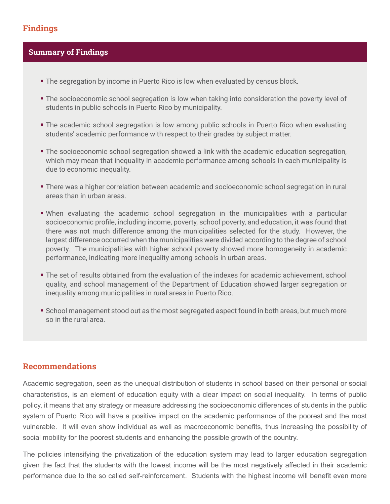#### Findings

#### Summary of Findings

- The segregation by income in Puerto Rico is low when evaluated by census block.
- The socioeconomic school segregation is low when taking into consideration the poverty level of students in public schools in Puerto Rico by municipality.
- The academic school segregation is low among public schools in Puerto Rico when evaluating students' academic performance with respect to their grades by subject matter.
- The socioeconomic school segregation showed a link with the academic education segregation, which may mean that inequality in academic performance among schools in each municipality is due to economic inequality.
- There was a higher correlation between academic and socioeconomic school segregation in rural areas than in urban areas.
- When evaluating the academic school segregation in the municipalities with a particular socioeconomic profile, including income, poverty, school poverty, and education, it was found that there was not much difference among the municipalities selected for the study. However, the largest difference occurred when the municipalities were divided according to the degree of school poverty. The municipalities with higher school poverty showed more homogeneity in academic performance, indicating more inequality among schools in urban areas.
- The set of results obtained from the evaluation of the indexes for academic achievement, school quality, and school management of the Department of Education showed larger segregation or inequality among municipalities in rural areas in Puerto Rico.
- School management stood out as the most segregated aspect found in both areas, but much more so in the rural area.

#### Recommendations

Academic segregation, seen as the unequal distribution of students in school based on their personal or social characteristics, is an element of education equity with a clear impact on social inequality. In terms of public policy, it means that any strategy or measure addressing the socioeconomic differences of students in the public system of Puerto Rico will have a positive impact on the academic performance of the poorest and the most vulnerable. It will even show individual as well as macroeconomic benefits, thus increasing the possibility of social mobility for the poorest students and enhancing the possible growth of the country.

The policies intensifying the privatization of the education system may lead to larger education segregation given the fact that the students with the lowest income will be the most negatively affected in their academic performance due to the so called self-reinforcement. Students with the highest income will benefit even more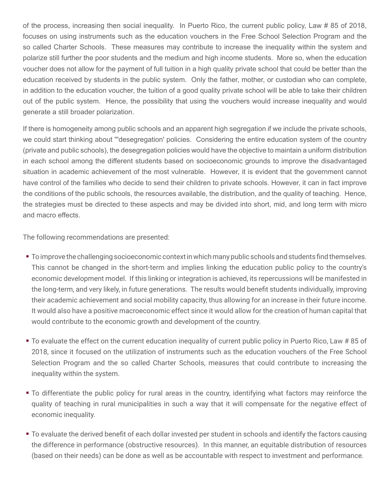of the process, increasing then social inequality. In Puerto Rico, the current public policy, Law # 85 of 2018, focuses on using instruments such as the education vouchers in the Free School Selection Program and the so called Charter Schools. These measures may contribute to increase the inequality within the system and polarize still further the poor students and the medium and high income students. More so, when the education voucher does not allow for the payment of full tuition in a high quality private school that could be better than the education received by students in the public system. Only the father, mother, or custodian who can complete, in addition to the education voucher, the tuition of a good quality private school will be able to take their children out of the public system. Hence, the possibility that using the vouchers would increase inequality and would generate a still broader polarization.

If there is homogeneity among public schools and an apparent high segregation if we include the private schools, we could start thinking about '''desegregation' policies. Considering the entire education system of the country (private and public schools), the desegregation policies would have the objective to maintain a uniform distribution in each school among the different students based on socioeconomic grounds to improve the disadvantaged situation in academic achievement of the most vulnerable. However, it is evident that the government cannot have control of the families who decide to send their children to private schools. However, it can in fact improve the conditions of the public schools, the resources available, the distribution, and the quality of teaching. Hence, the strategies must be directed to these aspects and may be divided into short, mid, and long term with micro and macro effects.

The following recommendations are presented:

- To improve the challenging socioeconomic context in which many public schools and students find themselves. This cannot be changed in the short-term and implies linking the education public policy to the country's economic development model. If this linking or integration is achieved, its repercussions will be manifested in the long-term, and very likely, in future generations. The results would benefit students individually, improving their academic achievement and social mobility capacity, thus allowing for an increase in their future income. It would also have a positive macroeconomic effect since it would allow for the creation of human capital that would contribute to the economic growth and development of the country.
- To evaluate the effect on the current education inequality of current public policy in Puerto Rico, Law # 85 of 2018, since it focused on the utilization of instruments such as the education vouchers of the Free School Selection Program and the so called Charter Schools, measures that could contribute to increasing the inequality within the system.
- To differentiate the public policy for rural areas in the country, identifying what factors may reinforce the quality of teaching in rural municipalities in such a way that it will compensate for the negative effect of economic inequality.
- To evaluate the derived benefit of each dollar invested per student in schools and identify the factors causing the difference in performance (obstructive resources). In this manner, an equitable distribution of resources (based on their needs) can be done as well as be accountable with respect to investment and performance.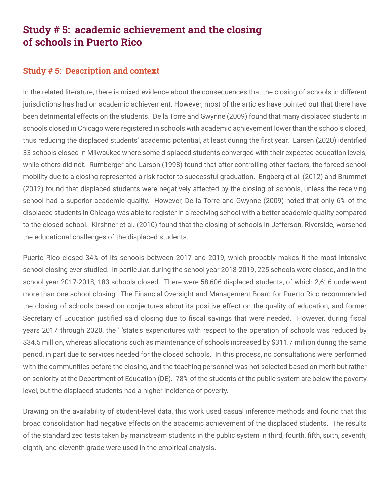## Study # 5: academic achievement and the closing of schools in Puerto Rico

#### Study # 5: Description and context

In the related literature, there is mixed evidence about the consequences that the closing of schools in different jurisdictions has had on academic achievement. However, most of the articles have pointed out that there have been detrimental effects on the students. De la Torre and Gwynne (2009) found that many displaced students in schools closed in Chicago were registered in schools with academic achievement lower than the schools closed, thus reducing the displaced students' academic potential, at least during the first year. Larsen (2020) identified 33 schools closed in Milwaukee where some displaced students converged with their expected education levels, while others did not. Rumberger and Larson (1998) found that after controlling other factors, the forced school mobility due to a closing represented a risk factor to successful graduation. Engberg et al. (2012) and Brummet (2012) found that displaced students were negatively affected by the closing of schools, unless the receiving school had a superior academic quality. However, De la Torre and Gwynne (2009) noted that only 6% of the displaced students in Chicago was able to register in a receiving school with a better academic quality compared to the closed school. Kirshner et al. (2010) found that the closing of schools in Jefferson, Riverside, worsened the educational challenges of the displaced students.

Puerto Rico closed 34% of its schools between 2017 and 2019, which probably makes it the most intensive school closing ever studied. In particular, during the school year 2018-2019, 225 schools were closed, and in the school year 2017-2018, 183 schools closed. There were 58,606 displaced students, of which 2,616 underwent more than one school closing. The Financial Oversight and Management Board for Puerto Rico recommended the closing of schools based on conjectures about its positive effect on the quality of education, and former Secretary of Education justified said closing due to fiscal savings that were needed. However, during fiscal years 2017 through 2020, the ' 'state's expenditures with respect to the operation of schools was reduced by \$34.5 million, whereas allocations such as maintenance of schools increased by \$311.7 million during the same period, in part due to services needed for the closed schools. In this process, no consultations were performed with the communities before the closing, and the teaching personnel was not selected based on merit but rather on seniority at the Department of Education (DE). 78% of the students of the public system are below the poverty level, but the displaced students had a higher incidence of poverty.

Drawing on the availability of student-level data, this work used casual inference methods and found that this broad consolidation had negative effects on the academic achievement of the displaced students. The results of the standardized tests taken by mainstream students in the public system in third, fourth, fifth, sixth, seventh, eighth, and eleventh grade were used in the empirical analysis.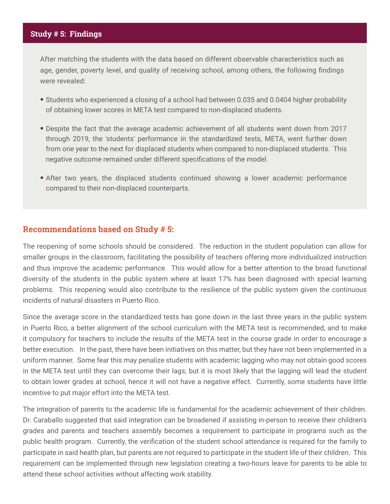#### Study # 5: Findings

After matching the students with the data based on different observable characteristics such as age, gender, poverty level, and quality of receiving school, among others, the following findings were revealed:

- Students who experienced a closing of a school had between 0.035 and 0.0404 higher probability of obtaining lower scores in META test compared to non-displaced students.
- Despite the fact that the average academic achievement of all students went down from 2017 through 2019, the 'students' performance in the standardized tests, META, went further down from one year to the next for displaced students when compared to non-displaced students. This negative outcome remained under different specifications of the model.
- After two years, the displaced students continued showing a lower academic performance compared to their non-displaced counterparts.

#### Recommendations based on Study # 5:

The reopening of some schools should be considered. The reduction in the student population can allow for smaller groups in the classroom, facilitating the possibility of teachers offering more individualized instruction and thus improve the academic performance. This would allow for a better attention to the broad functional diversity of the students in the public system where at least 17% has been diagnosed with special learning problems. This reopening would also contribute to the resilience of the public system given the continuous incidents of natural disasters in Puerto Rico.

Since the average score in the standardized tests has gone down in the last three years in the public system in Puerto Rico, a better alignment of the school curriculum with the META test is recommended, and to make it compulsory for teachers to include the results of the META test in the course grade in order to encourage a better execution. In the past, there have been initiatives on this matter, but they have not been implemented in a uniform manner. Some fear this may penalize students with academic lagging who may not obtain good scores in the META test until they can overcome their lags; but it is most likely that the lagging will lead the student to obtain lower grades at school, hence it will not have a negative effect. Currently, some students have little incentive to put major effort into the META test.

The integration of parents to the academic life is fundamental for the academic achievement of their children. Dr. Caraballo suggested that said integration can be broadened if assisting in-person to receive their children's grades and parents and teachers assembly becomes a requirement to participate in programs such as the public health program. Currently, the verification of the student school attendance is required for the family to participate in said health plan, but parents are not required to participate in the student life of their children. This requirement can be implemented through new legislation creating a two-hours leave for parents to be able to attend these school activities without affecting work stability.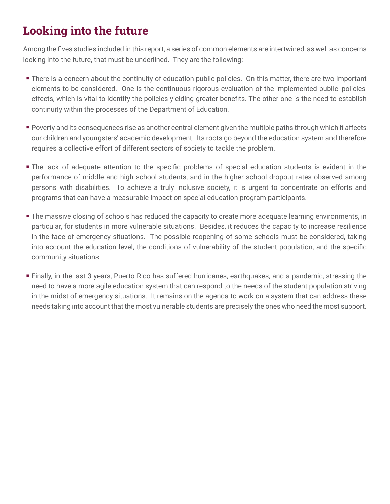# Looking into the future

Among the fives studies included in this report, a series of common elements are intertwined, as well as concerns looking into the future, that must be underlined. They are the following:

- There is a concern about the continuity of education public policies. On this matter, there are two important elements to be considered. One is the continuous rigorous evaluation of the implemented public 'policies' effects, which is vital to identify the policies yielding greater benefits. The other one is the need to establish continuity within the processes of the Department of Education.
- Poverty and its consequences rise as another central element given the multiple paths through which it affects our children and youngsters' academic development. Its roots go beyond the education system and therefore requires a collective effort of different sectors of society to tackle the problem.
- The lack of adequate attention to the specific problems of special education students is evident in the performance of middle and high school students, and in the higher school dropout rates observed among persons with disabilities. To achieve a truly inclusive society, it is urgent to concentrate on efforts and programs that can have a measurable impact on special education program participants.
- **The massive closing of schools has reduced the capacity to create more adequate learning environments, in** particular, for students in more vulnerable situations. Besides, it reduces the capacity to increase resilience in the face of emergency situations. The possible reopening of some schools must be considered, taking into account the education level, the conditions of vulnerability of the student population, and the specific community situations.
- Finally, in the last 3 years, Puerto Rico has suffered hurricanes, earthquakes, and a pandemic, stressing the need to have a more agile education system that can respond to the needs of the student population striving in the midst of emergency situations. It remains on the agenda to work on a system that can address these needs taking into account that the most vulnerable students are precisely the ones who need the most support.